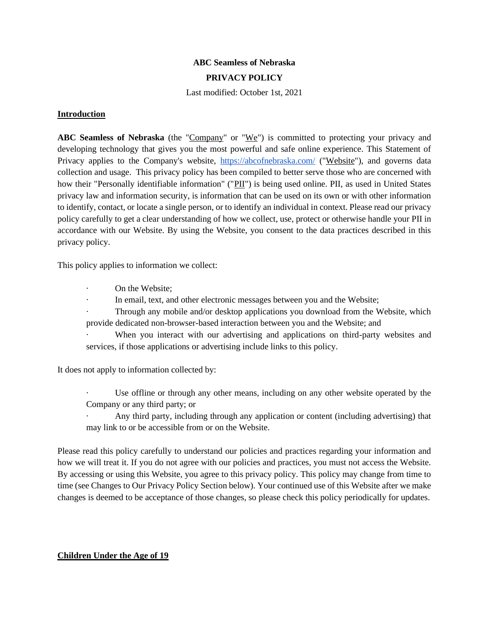#### **ABC Seamless of Nebraska**

#### **PRIVACY POLICY**

Last modified: October 1st, 2021

#### **Introduction**

ABC Seamless of Nebraska (the "Company" or "We") is committed to protecting your privacy and developing technology that gives you the most powerful and safe online experience. This Statement of Privacy applies to the Company's website, <https://abcofnebraska.com/> ("Website"), and governs data collection and usage. This privacy policy has been compiled to better serve those who are concerned with how their "Personally identifiable information" ("PII") is being used online. PII, as used in United States privacy law and information security, is information that can be used on its own or with other information to identify, contact, or locate a single person, or to identify an individual in context. Please read our privacy policy carefully to get a clear understanding of how we collect, use, protect or otherwise handle your PII in accordance with our Website. By using the Website, you consent to the data practices described in this privacy policy.

This policy applies to information we collect:

· On the Website;

· In email, text, and other electronic messages between you and the Website;

Through any mobile and/or desktop applications you download from the Website, which provide dedicated non-browser-based interaction between you and the Website; and

When you interact with our advertising and applications on third-party websites and services, if those applications or advertising include links to this policy.

It does not apply to information collected by:

Use offline or through any other means, including on any other website operated by the Company or any third party; or

· Any third party, including through any application or content (including advertising) that may link to or be accessible from or on the Website.

Please read this policy carefully to understand our policies and practices regarding your information and how we will treat it. If you do not agree with our policies and practices, you must not access the Website. By accessing or using this Website, you agree to this privacy policy. This policy may change from time to time (see Changes to Our Privacy Policy Section below). Your continued use of this Website after we make changes is deemed to be acceptance of those changes, so please check this policy periodically for updates.

#### **Children Under the Age of 19**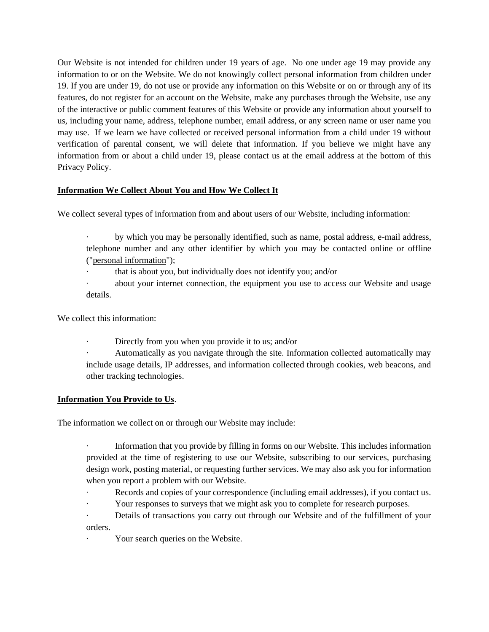Our Website is not intended for children under 19 years of age. No one under age 19 may provide any information to or on the Website. We do not knowingly collect personal information from children under 19. If you are under 19, do not use or provide any information on this Website or on or through any of its features, do not register for an account on the Website, make any purchases through the Website, use any of the interactive or public comment features of this Website or provide any information about yourself to us, including your name, address, telephone number, email address, or any screen name or user name you may use. If we learn we have collected or received personal information from a child under 19 without verification of parental consent, we will delete that information. If you believe we might have any information from or about a child under 19, please contact us at the email address at the bottom of this Privacy Policy.

# **Information We Collect About You and How We Collect It**

We collect several types of information from and about users of our Website, including information:

by which you may be personally identified, such as name, postal address, e-mail address, telephone number and any other identifier by which you may be contacted online or offline ("personal information");

that is about you, but individually does not identify you; and/or

about your internet connection, the equipment you use to access our Website and usage details.

We collect this information:

- Directly from you when you provide it to us; and/or
- · Automatically as you navigate through the site. Information collected automatically may include usage details, IP addresses, and information collected through cookies, web beacons, and other tracking technologies.

# **Information You Provide to Us**.

The information we collect on or through our Website may include:

· Information that you provide by filling in forms on our Website. This includes information provided at the time of registering to use our Website, subscribing to our services, purchasing design work, posting material, or requesting further services. We may also ask you for information when you report a problem with our Website.

- Records and copies of your correspondence (including email addresses), if you contact us.
- Your responses to surveys that we might ask you to complete for research purposes.

· Details of transactions you carry out through our Website and of the fulfillment of your orders.

Your search queries on the Website.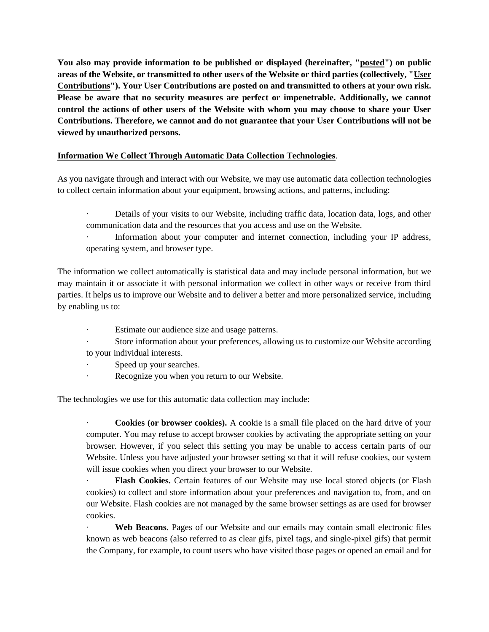**You also may provide information to be published or displayed (hereinafter, "posted") on public areas of the Website, or transmitted to other users of the Website or third parties (collectively, "User Contributions"). Your User Contributions are posted on and transmitted to others at your own risk. Please be aware that no security measures are perfect or impenetrable. Additionally, we cannot control the actions of other users of the Website with whom you may choose to share your User Contributions. Therefore, we cannot and do not guarantee that your User Contributions will not be viewed by unauthorized persons.**

## **Information We Collect Through Automatic Data Collection Technologies**.

As you navigate through and interact with our Website, we may use automatic data collection technologies to collect certain information about your equipment, browsing actions, and patterns, including:

Details of your visits to our Website, including traffic data, location data, logs, and other communication data and the resources that you access and use on the Website.

Information about your computer and internet connection, including your IP address, operating system, and browser type.

The information we collect automatically is statistical data and may include personal information, but we may maintain it or associate it with personal information we collect in other ways or receive from third parties. It helps us to improve our Website and to deliver a better and more personalized service, including by enabling us to:

- · Estimate our audience size and usage patterns.
- · Store information about your preferences, allowing us to customize our Website according to your individual interests.
- Speed up your searches.
- · Recognize you when you return to our Website.

The technologies we use for this automatic data collection may include:

· **Cookies (or browser cookies).** A cookie is a small file placed on the hard drive of your computer. You may refuse to accept browser cookies by activating the appropriate setting on your browser. However, if you select this setting you may be unable to access certain parts of our Website. Unless you have adjusted your browser setting so that it will refuse cookies, our system will issue cookies when you direct your browser to our Website.

· **Flash Cookies.** Certain features of our Website may use local stored objects (or Flash cookies) to collect and store information about your preferences and navigation to, from, and on our Website. Flash cookies are not managed by the same browser settings as are used for browser cookies.

Web Beacons. Pages of our Website and our emails may contain small electronic files known as web beacons (also referred to as clear gifs, pixel tags, and single-pixel gifs) that permit the Company, for example, to count users who have visited those pages or opened an email and for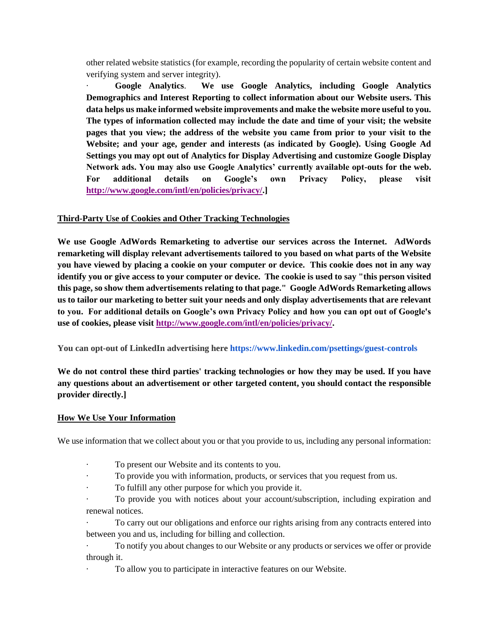other related website statistics (for example, recording the popularity of certain website content and verifying system and server integrity).

· **Google Analytics**. **We use Google Analytics, including Google Analytics Demographics and Interest Reporting to collect information about our Website users. This data helps us make informed website improvements and make the website more useful to you. The types of information collected may include the date and time of your visit; the website pages that you view; the address of the website you came from prior to your visit to the Website; and your age, gender and interests (as indicated by Google). Using Google Ad Settings you may opt out of Analytics for Display Advertising and customize Google Display Network ads. You may also use Google Analytics' currently available opt-outs for the web. For additional details on Google's own Privacy Policy, please visit [http://www.google.com/intl/en/policies/privacy/.](http://www.google.com/intl/en/policies/privacy/)]**

## **Third-Party Use of Cookies and Other Tracking Technologies**

**We use Google AdWords Remarketing to advertise our services across the Internet. AdWords remarketing will display relevant advertisements tailored to you based on what parts of the Website you have viewed by placing a cookie on your computer or device. This cookie does not in any way identify you or give access to your computer or device. The cookie is used to say "this person visited this page, so show them advertisements relating to that page." Google AdWords Remarketing allows us to tailor our marketing to better suit your needs and only display advertisements that are relevant to you. For additional details on Google's own Privacy Policy and how you can opt out of Google's use of cookies, please visit [http://www.google.com/intl/en/policies/privacy/.](http://www.google.com/intl/en/policies/privacy/)**

**You can opt-out of LinkedIn advertising here [https://www.linkedin.com/psettings/guest-controls](https://app.mavenlink.com/redirect?url=https%3A%2F%2Fwww.linkedin.com%2Fpsettings%2Fguest-controls)**

**We do not control these third parties' tracking technologies or how they may be used. If you have any questions about an advertisement or other targeted content, you should contact the responsible provider directly.]**

#### **How We Use Your Information**

We use information that we collect about you or that you provide to us, including any personal information:

- To present our Website and its contents to you.
- To provide you with information, products, or services that you request from us.
- To fulfill any other purpose for which you provide it.
- · To provide you with notices about your account/subscription, including expiration and renewal notices.

· To carry out our obligations and enforce our rights arising from any contracts entered into between you and us, including for billing and collection.

· To notify you about changes to our Website or any products or services we offer or provide through it.

To allow you to participate in interactive features on our Website.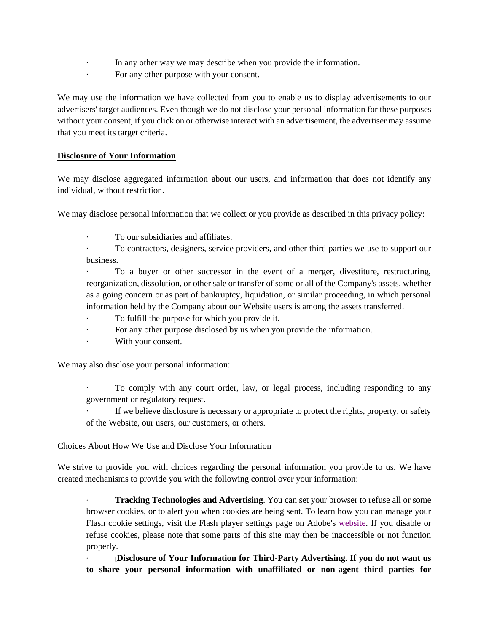- · In any other way we may describe when you provide the information.
- For any other purpose with your consent.

We may use the information we have collected from you to enable us to display advertisements to our advertisers' target audiences. Even though we do not disclose your personal information for these purposes without your consent, if you click on or otherwise interact with an advertisement, the advertiser may assume that you meet its target criteria.

### **Disclosure of Your Information**

We may disclose aggregated information about our users, and information that does not identify any individual, without restriction.

We may disclose personal information that we collect or you provide as described in this privacy policy:

To our subsidiaries and affiliates.

· To contractors, designers, service providers, and other third parties we use to support our business.

· To a buyer or other successor in the event of a merger, divestiture, restructuring, reorganization, dissolution, or other sale or transfer of some or all of the Company's assets, whether as a going concern or as part of bankruptcy, liquidation, or similar proceeding, in which personal information held by the Company about our Website users is among the assets transferred.

- · To fulfill the purpose for which you provide it.
- · For any other purpose disclosed by us when you provide the information.
- With your consent.

We may also disclose your personal information:

· To comply with any court order, law, or legal process, including responding to any government or regulatory request.

If we believe disclosure is necessary or appropriate to protect the rights, property, or safety of the Website, our users, our customers, or others.

#### Choices About How We Use and Disclose Your Information

We strive to provide you with choices regarding the personal information you provide to us. We have created mechanisms to provide you with the following control over your information:

· **Tracking Technologies and Advertising**. You can set your browser to refuse all or some browser cookies, or to alert you when cookies are being sent. To learn how you can manage your Flash cookie settings, visit the Flash player settings page on Adobe's [website.](http://www.macromedia.com/support/documentation/en/flashplayer/help/settings_manager07.html) If you disable or refuse cookies, please note that some parts of this site may then be inaccessible or not function properly.

· [**Disclosure of Your Information for Third-Party Advertising. If you do not want us to share your personal information with unaffiliated or non-agent third parties for**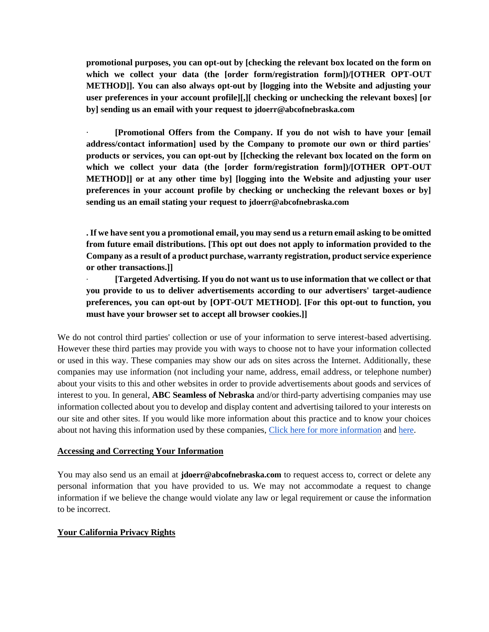**promotional purposes, you can opt-out by [checking the relevant box located on the form on which we collect your data (the [order form/registration form])/[OTHER OPT-OUT METHOD]]. You can also always opt-out by [logging into the Website and adjusting your user preferences in your account profile][,][ checking or unchecking the relevant boxes] [or by] sending us an email with your request to jdoerr@abcofnebraska.com**

· **[Promotional Offers from the Company. If you do not wish to have your [email address/contact information] used by the Company to promote our own or third parties' products or services, you can opt-out by [[checking the relevant box located on the form on which we collect your data (the [order form/registration form])/[OTHER OPT-OUT METHOD]] or at any other time by] [logging into the Website and adjusting your user preferences in your account profile by checking or unchecking the relevant boxes or by] sending us an email stating your request to jdoerr@abcofnebraska.com**

**. If we have sent you a promotional email, you may send us a return email asking to be omitted from future email distributions. [This opt out does not apply to information provided to the Company as a result of a product purchase, warranty registration, product service experience or other transactions.]]**

· **[Targeted Advertising. If you do not want us to use information that we collect or that you provide to us to deliver advertisements according to our advertisers' target-audience preferences, you can opt-out by [OPT-OUT METHOD]. [For this opt-out to function, you must have your browser set to accept all browser cookies.]]**

We do not control third parties' collection or use of your information to serve interest-based advertising. However these third parties may provide you with ways to choose not to have your information collected or used in this way. These companies may show our ads on sites across the Internet. Additionally, these companies may use information (not including your name, address, email address, or telephone number) about your visits to this and other websites in order to provide advertisements about goods and services of interest to you. In general, **ABC Seamless of Nebraska** and/or third-party advertising companies may use information collected about you to develop and display content and advertising tailored to your interests on our site and other sites. If you would like more information about this practice and to know your choices about not having this information used by these companies, [Click here for more information](http://optout.networkadvertising.org/?c=1) and [here.](https://optout.aboutads.info/)

#### **Accessing and Correcting Your Information**

You may also send us an email at **jdoerr@abcofnebraska.com** to request access to, correct or delete any personal information that you have provided to us. We may not accommodate a request to change information if we believe the change would violate any law or legal requirement or cause the information to be incorrect.

# **Your California Privacy Rights**